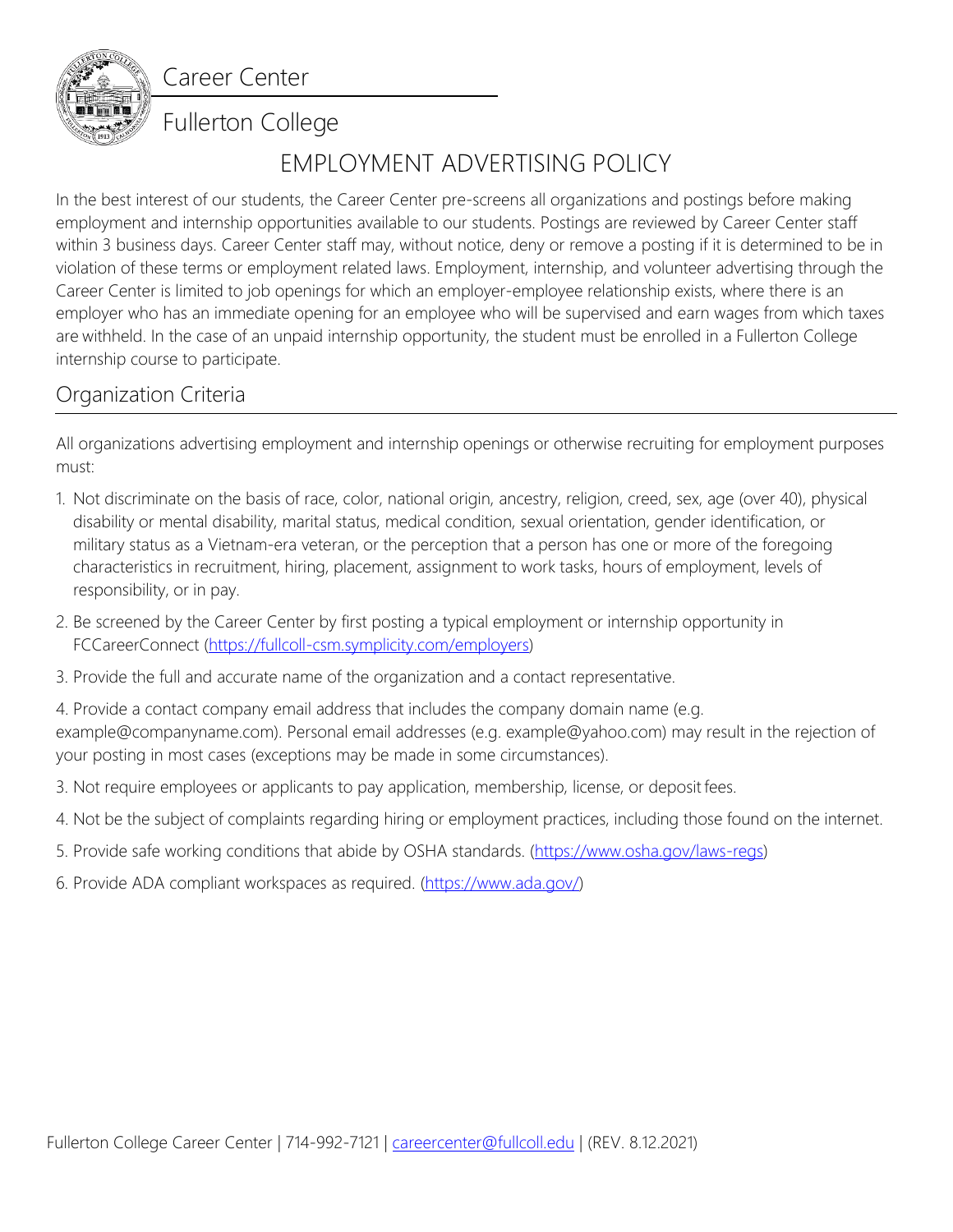Career Center



## Fullerton College

# EMPLOYMENT ADVERTISING POLICY

In the best interest of our students, the Career Center pre-screens all organizations and postings before making employment and internship opportunities available to our students. Postings are reviewed by Career Center staff within 3 business days. Career Center staff may, without notice, deny or remove a posting if it is determined to be in violation of these terms or employment related laws. Employment, internship, and volunteer advertising through the Career Center is limited to job openings for which an employer-employee relationship exists, where there is an employer who has an immediate opening for an employee who will be supervised and earn wages from which taxes are withheld. In the case of an unpaid internship opportunity, the student must be enrolled in a Fullerton College internship course to participate.

### Organization Criteria

All organizations advertising employment and internship openings or otherwise recruiting for employment purposes must:

- 1. Not discriminate on the basis of race, color, national origin, ancestry, religion, creed, sex, age (over 40), physical disability or mental disability, marital status, medical condition, sexual orientation, gender identification, or military status as a Vietnam-era veteran, or the perception that a person has one or more of the foregoing characteristics in recruitment, hiring, placement, assignment to work tasks, hours of employment, levels of responsibility, or in pay.
- 2. Be screened by the Career Center by first posting a typical employment or internship opportunity in FCCareerConnect [\(https://fullcoll-csm.symplicity.com/employers\)](https://fullcoll-csm.symplicity.com/employers)
- 3. Provide the full and accurate name of the organization and a contact representative.

4. Provide a contact company email address that includes the company domain name (e.g. example@companyname.com). Personal email addresses (e.g. example@yahoo.com) may result in the rejection of your posting in most cases (exceptions may be made in some circumstances).

- 3. Not require employees or applicants to pay application, membership, license, or deposit fees.
- 4. Not be the subject of complaints regarding hiring or employment practices, including those found on the internet.
- 5. Provide safe working conditions that abide by OSHA standards. [\(https://www.osha.gov/laws-regs\)](https://www.osha.gov/laws-regs)
- 6. Provide ADA compliant workspaces as required. [\(https://www.ada.gov/\)](https://www.ada.gov/)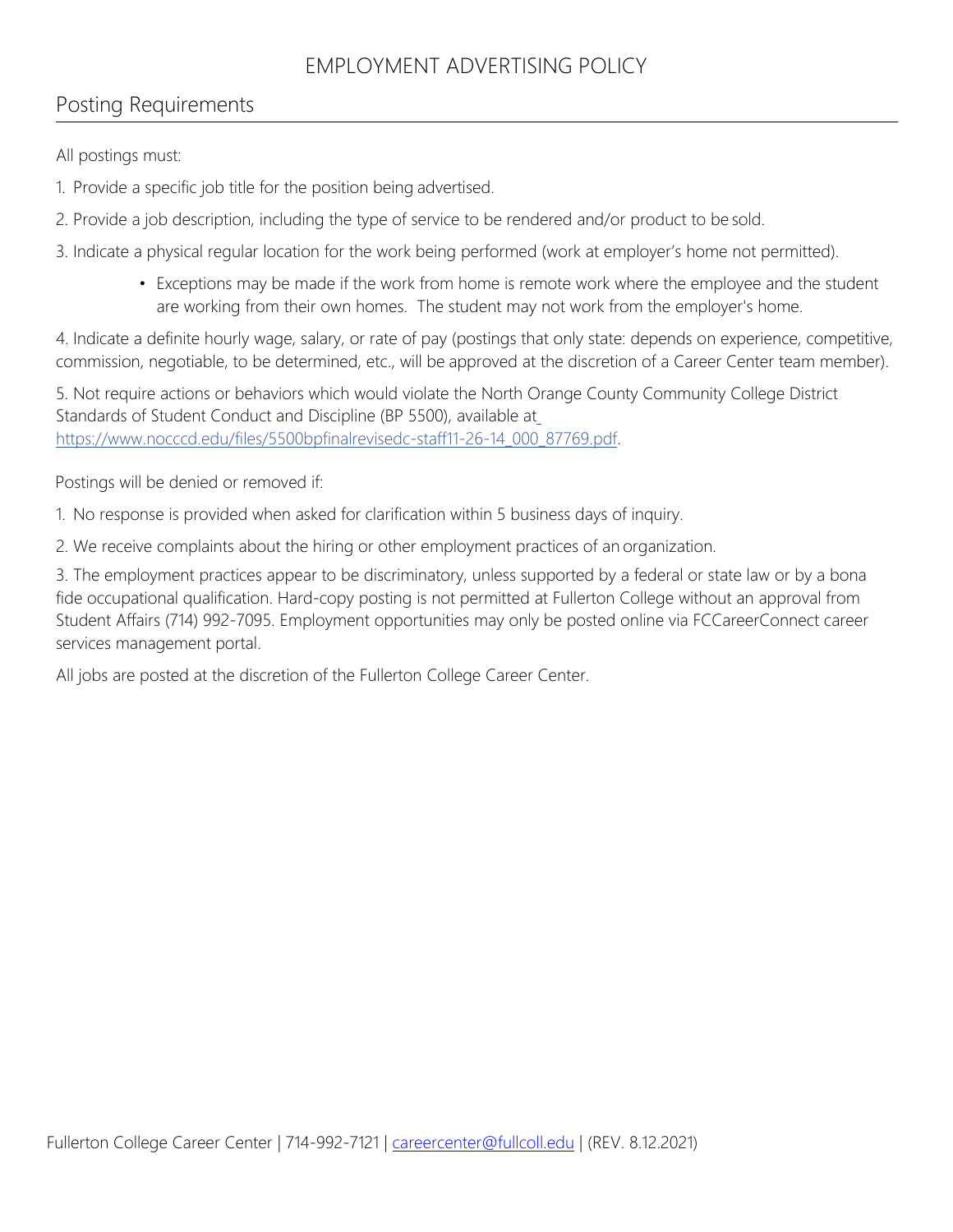### EMPLOYMENT ADVERTISING POLICY

### Posting Requirements

All postings must:

1. Provide a specific job title for the position being advertised.

2. Provide a job description, including the type of service to be rendered and/or product to be sold.

3. Indicate a physical regular location for the work being performed (work at employer's home not permitted).

• Exceptions may be made if the work from home is remote work where the employee and the student are working from their own homes. The student may not work from the employer's home.

4. Indicate a definite hourly wage, salary, or rate of pay (postings that only state: depends on experience, competitive, commission, negotiable, to be determined, etc., will be approved at the discretion of a Career Center team member).

5. Not require actions or behaviors which would violate the North Orange County Community College District Standards of Student Conduct and Discipline (BP 5500), available at [https://www.nocccd.edu/files/5500bpfinalrevisedc-staff11-26-14\\_000\\_87769.pdf.](https://www.nocccd.edu/files/5500bpfinalrevisedc-staff11-26-14_000_87769.pdf)

Postings will be denied or removed if:

1. No response is provided when asked for clarification within 5 business days of inquiry.

2. We receive complaints about the hiring or other employment practices of an organization.

3. The employment practices appear to be discriminatory, unless supported by a federal or state law or by a bona fide occupational qualification. Hard-copy posting is not permitted at Fullerton College without an approval from Student Affairs (714) 992-7095. Employment opportunities may only be posted online via FCCareerConnect career services management portal.

All jobs are posted at the discretion of the Fullerton College Career Center.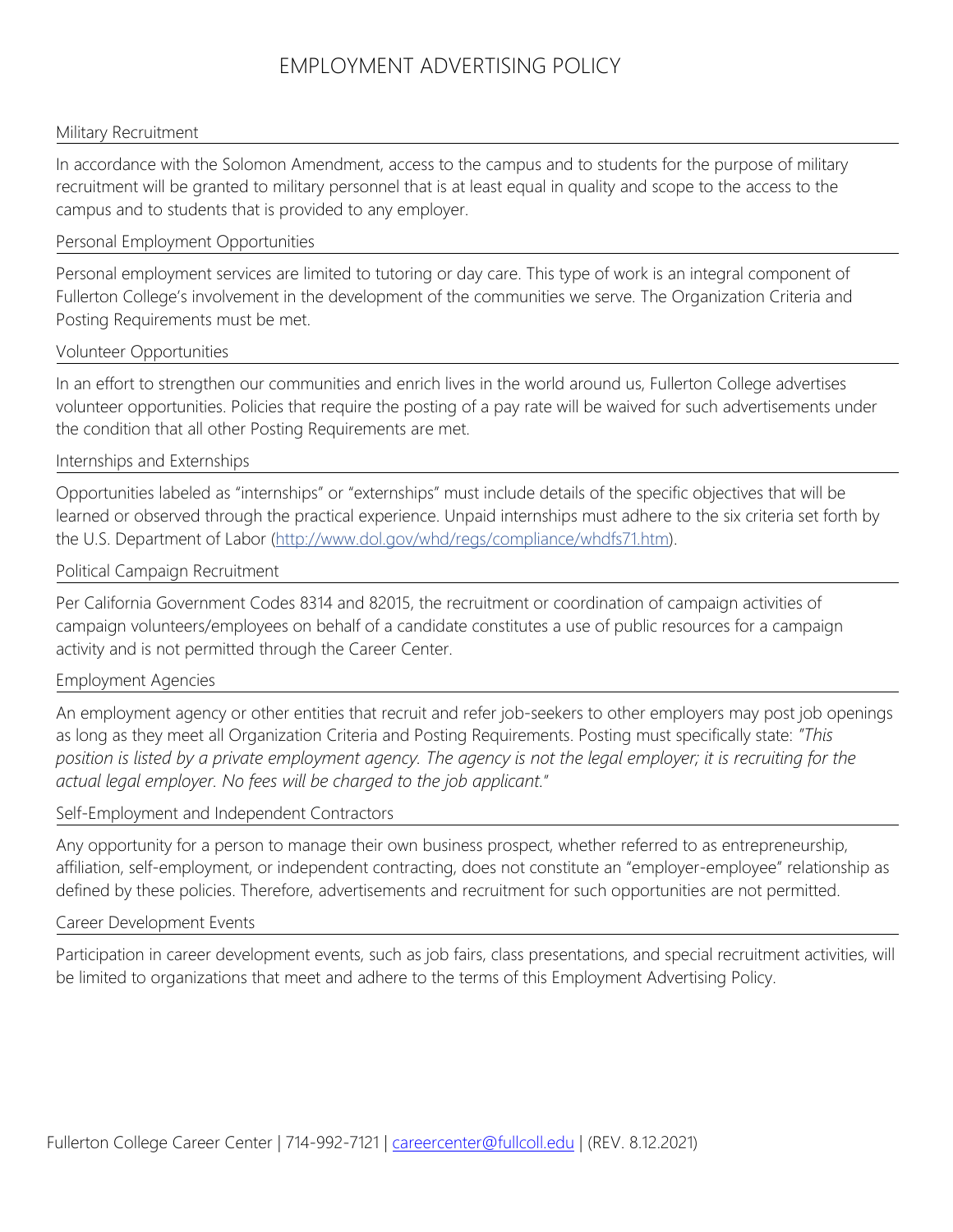### EMPLOYMENT ADVERTISING POLICY

#### Military Recruitment

In accordance with the Solomon Amendment, access to the campus and to students for the purpose of military recruitment will be granted to military personnel that is at least equal in quality and scope to the access to the campus and to students that is provided to any employer.

#### Personal Employment Opportunities

Personal employment services are limited to tutoring or day care. This type of work is an integral component of Fullerton College's involvement in the development of the communities we serve. The Organization Criteria and Posting Requirements must be met.

#### Volunteer Opportunities

In an effort to strengthen our communities and enrich lives in the world around us, Fullerton College advertises volunteer opportunities. Policies that require the posting of a pay rate will be waived for such advertisements under the condition that all other Posting Requirements are met.

#### Internships and Externships

Opportunities labeled as "internships" or "externships" must include details of the specific objectives that will be learned or observed through the practical experience. Unpaid internships must adhere to the six criteria set forth by the U.S. Department of Labor [\(http://www.dol.gov/whd/regs/compliance/whdfs71.htm\)](http://www.dol.gov/whd/regs/compliance/whdfs71.htm).

#### Political Campaign Recruitment

Per California Government Codes 8314 and 82015, the recruitment or coordination of campaign activities of campaign volunteers/employees on behalf of a candidate constitutes a use of public resources for a campaign activity and is not permitted through the Career Center.

#### Employment Agencies

An employment agency or other entities that recruit and refer job-seekers to other employers may post job openings as long as they meet all Organization Criteria and Posting Requirements. Posting must specifically state: *"This position is listed by a private employment agency. The agency is not the legal employer; it is recruiting for the actual legal employer. No fees will be charged to the job applicant.*"

#### Self-Employment and Independent Contractors

Any opportunity for a person to manage their own business prospect, whether referred to as entrepreneurship, affiliation, self-employment, or independent contracting, does not constitute an "employer-employee" relationship as defined by these policies. Therefore, advertisements and recruitment for such opportunities are not permitted.

#### Career Development Events

Participation in career development events, such as job fairs, class presentations, and special recruitment activities, will be limited to organizations that meet and adhere to the terms of this Employment Advertising Policy.